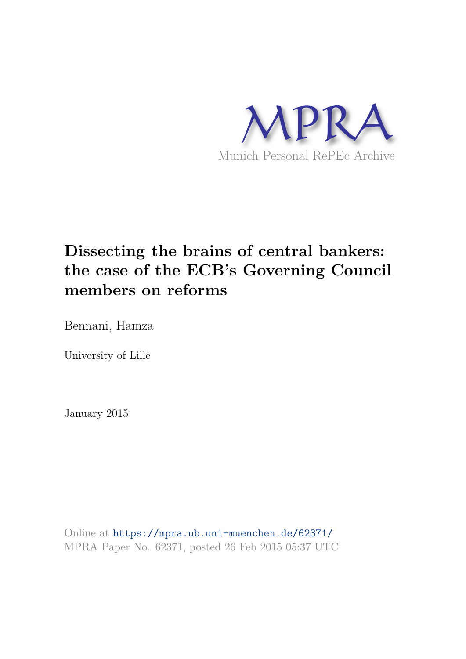

# **Dissecting the brains of central bankers: the case of the ECB's Governing Council members on reforms**

Bennani, Hamza

University of Lille

January 2015

Online at https://mpra.ub.uni-muenchen.de/62371/ MPRA Paper No. 62371, posted 26 Feb 2015 05:37 UTC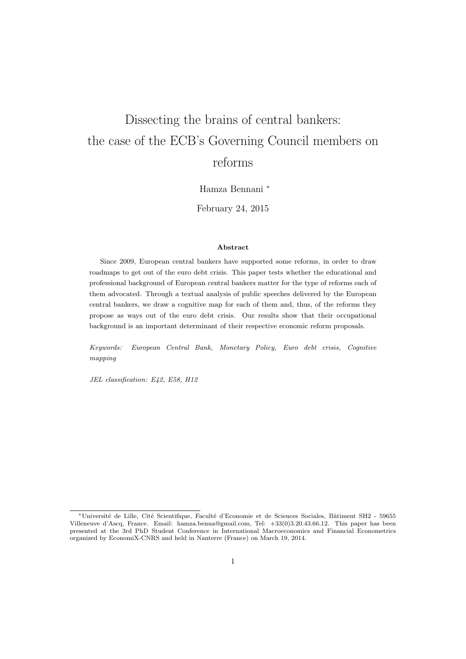# Dissecting the brains of central bankers: the case of the ECB's Governing Council members on reforms

Hamza Bennani <sup>∗</sup>

February 24, 2015

#### Abstract

Since 2009, European central bankers have supported some reforms, in order to draw roadmaps to get out of the euro debt crisis. This paper tests whether the educational and professional background of European central bankers matter for the type of reforms each of them advocated. Through a textual analysis of public speeches delivered by the European central bankers, we draw a cognitive map for each of them and, thus, of the reforms they propose as ways out of the euro debt crisis. Our results show that their occupational background is an important determinant of their respective economic reform proposals.

Keywords: European Central Bank, Monetary Policy, Euro debt crisis, Cognitive mapping

JEL classification: E42, E58, H12

<sup>∗</sup>Universit´e de Lille, Cit´e Scientifique, Facult´e d'Economie et de Sciences Sociales, Bˆatiment SH2 - 59655 Villeneuve d'Ascq, France. Email: hamza.benna@gmail.com, Tel: +33(0)3.20.43.66.12. This paper has been presented at the 3rd PhD Student Conference in International Macroeconomics and Financial Econometrics organized by EconomiX-CNRS and held in Nanterre (France) on March 19, 2014.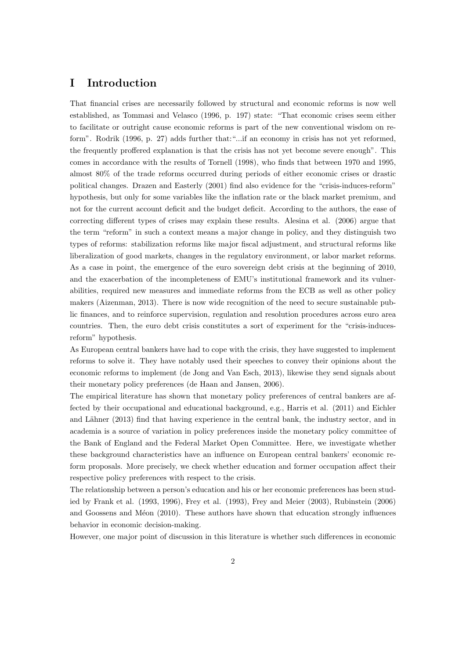### I Introduction

That financial crises are necessarily followed by structural and economic reforms is now well established, as Tommasi and Velasco (1996, p. 197) state: "That economic crises seem either to facilitate or outright cause economic reforms is part of the new conventional wisdom on reform". Rodrik (1996, p. 27) adds further that:"...if an economy in crisis has not yet reformed, the frequently proffered explanation is that the crisis has not yet become severe enough". This comes in accordance with the results of Tornell (1998), who finds that between 1970 and 1995, almost 80% of the trade reforms occurred during periods of either economic crises or drastic political changes. Drazen and Easterly (2001) find also evidence for the "crisis-induces-reform" hypothesis, but only for some variables like the inflation rate or the black market premium, and not for the current account deficit and the budget deficit. According to the authors, the ease of correcting different types of crises may explain these results. Alesina et al. (2006) argue that the term "reform" in such a context means a major change in policy, and they distinguish two types of reforms: stabilization reforms like major fiscal adjustment, and structural reforms like liberalization of good markets, changes in the regulatory environment, or labor market reforms. As a case in point, the emergence of the euro sovereign debt crisis at the beginning of 2010, and the exacerbation of the incompleteness of EMU's institutional framework and its vulnerabilities, required new measures and immediate reforms from the ECB as well as other policy makers (Aizenman, 2013). There is now wide recognition of the need to secure sustainable public finances, and to reinforce supervision, regulation and resolution procedures across euro area countries. Then, the euro debt crisis constitutes a sort of experiment for the "crisis-inducesreform" hypothesis.

As European central bankers have had to cope with the crisis, they have suggested to implement reforms to solve it. They have notably used their speeches to convey their opinions about the economic reforms to implement (de Jong and Van Esch, 2013), likewise they send signals about their monetary policy preferences (de Haan and Jansen, 2006).

The empirical literature has shown that monetary policy preferences of central bankers are affected by their occupational and educational background, e.g., Harris et al. (2011) and Eichler and Lähner (2013) find that having experience in the central bank, the industry sector, and in academia is a source of variation in policy preferences inside the monetary policy committee of the Bank of England and the Federal Market Open Committee. Here, we investigate whether these background characteristics have an influence on European central bankers' economic reform proposals. More precisely, we check whether education and former occupation affect their respective policy preferences with respect to the crisis.

The relationship between a person's education and his or her economic preferences has been studied by Frank et al. (1993, 1996), Frey et al. (1993), Frey and Meier (2003), Rubinstein (2006) and Goossens and Méon (2010). These authors have shown that education strongly influences behavior in economic decision-making.

However, one major point of discussion in this literature is whether such differences in economic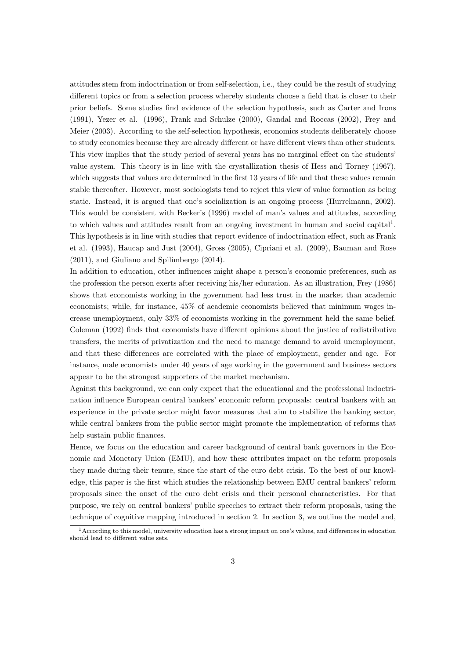attitudes stem from indoctrination or from self-selection, i.e., they could be the result of studying different topics or from a selection process whereby students choose a field that is closer to their prior beliefs. Some studies find evidence of the selection hypothesis, such as Carter and Irons (1991), Yezer et al. (1996), Frank and Schulze (2000), Gandal and Roccas (2002), Frey and Meier (2003). According to the self-selection hypothesis, economics students deliberately choose to study economics because they are already different or have different views than other students. This view implies that the study period of several years has no marginal effect on the students' value system. This theory is in line with the crystallization thesis of Hess and Torney (1967), which suggests that values are determined in the first 13 years of life and that these values remain stable thereafter. However, most sociologists tend to reject this view of value formation as being static. Instead, it is argued that one's socialization is an ongoing process (Hurrelmann, 2002). This would be consistent with Becker's (1996) model of man's values and attitudes, according to which values and attitudes result from an ongoing investment in human and social capital<sup>1</sup>. This hypothesis is in line with studies that report evidence of indoctrination effect, such as Frank et al. (1993), Haucap and Just (2004), Gross (2005), Cipriani et al. (2009), Bauman and Rose (2011), and Giuliano and Spilimbergo (2014).

In addition to education, other influences might shape a person's economic preferences, such as the profession the person exerts after receiving his/her education. As an illustration, Frey (1986) shows that economists working in the government had less trust in the market than academic economists; while, for instance, 45% of academic economists believed that minimum wages increase unemployment, only 33% of economists working in the government held the same belief. Coleman (1992) finds that economists have different opinions about the justice of redistributive transfers, the merits of privatization and the need to manage demand to avoid unemployment, and that these differences are correlated with the place of employment, gender and age. For instance, male economists under 40 years of age working in the government and business sectors appear to be the strongest supporters of the market mechanism.

Against this background, we can only expect that the educational and the professional indoctrination influence European central bankers' economic reform proposals: central bankers with an experience in the private sector might favor measures that aim to stabilize the banking sector, while central bankers from the public sector might promote the implementation of reforms that help sustain public finances.

Hence, we focus on the education and career background of central bank governors in the Economic and Monetary Union (EMU), and how these attributes impact on the reform proposals they made during their tenure, since the start of the euro debt crisis. To the best of our knowledge, this paper is the first which studies the relationship between EMU central bankers' reform proposals since the onset of the euro debt crisis and their personal characteristics. For that purpose, we rely on central bankers' public speeches to extract their reform proposals, using the technique of cognitive mapping introduced in section 2. In section 3, we outline the model and,

<sup>&</sup>lt;sup>1</sup> According to this model, university education has a strong impact on one's values, and differences in education should lead to different value sets.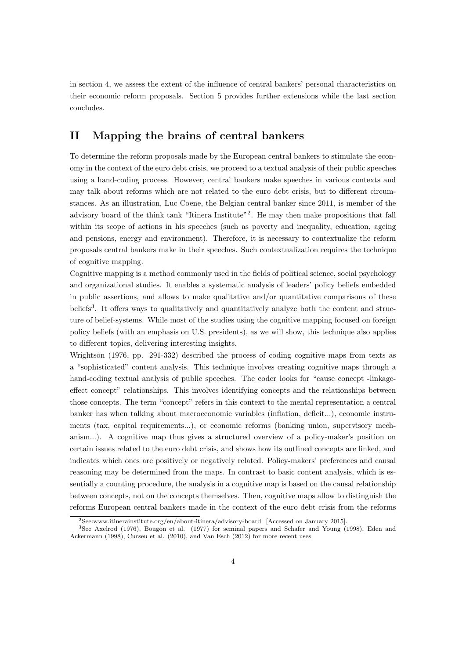in section 4, we assess the extent of the influence of central bankers' personal characteristics on their economic reform proposals. Section 5 provides further extensions while the last section concludes.

# II Mapping the brains of central bankers

To determine the reform proposals made by the European central bankers to stimulate the economy in the context of the euro debt crisis, we proceed to a textual analysis of their public speeches using a hand-coding process. However, central bankers make speeches in various contexts and may talk about reforms which are not related to the euro debt crisis, but to different circumstances. As an illustration, Luc Coene, the Belgian central banker since 2011, is member of the advisory board of the think tank "Itinera Institute"<sup>2</sup>. He may then make propositions that fall within its scope of actions in his speeches (such as poverty and inequality, education, ageing and pensions, energy and environment). Therefore, it is necessary to contextualize the reform proposals central bankers make in their speeches. Such contextualization requires the technique of cognitive mapping.

Cognitive mapping is a method commonly used in the fields of political science, social psychology and organizational studies. It enables a systematic analysis of leaders' policy beliefs embedded in public assertions, and allows to make qualitative and/or quantitative comparisons of these beliefs<sup>3</sup>. It offers ways to qualitatively and quantitatively analyze both the content and structure of belief-systems. While most of the studies using the cognitive mapping focused on foreign policy beliefs (with an emphasis on U.S. presidents), as we will show, this technique also applies to different topics, delivering interesting insights.

Wrightson (1976, pp. 291-332) described the process of coding cognitive maps from texts as a "sophisticated" content analysis. This technique involves creating cognitive maps through a hand-coding textual analysis of public speeches. The coder looks for "cause concept -linkageeffect concept" relationships. This involves identifying concepts and the relationships between those concepts. The term "concept" refers in this context to the mental representation a central banker has when talking about macroeconomic variables (inflation, deficit...), economic instruments (tax, capital requirements...), or economic reforms (banking union, supervisory mechanism...). A cognitive map thus gives a structured overview of a policy-maker's position on certain issues related to the euro debt crisis, and shows how its outlined concepts are linked, and indicates which ones are positively or negatively related. Policy-makers' preferences and causal reasoning may be determined from the maps. In contrast to basic content analysis, which is essentially a counting procedure, the analysis in a cognitive map is based on the causal relationship between concepts, not on the concepts themselves. Then, cognitive maps allow to distinguish the reforms European central bankers made in the context of the euro debt crisis from the reforms

<sup>2</sup>See:www.itinerainstitute.org/en/about-itinera/advisory-board. [Accessed on January 2015].

<sup>3</sup>See Axelrod (1976), Bougon et al. (1977) for seminal papers and Schafer and Young (1998), Eden and Ackermann (1998), Curseu et al. (2010), and Van Esch (2012) for more recent uses.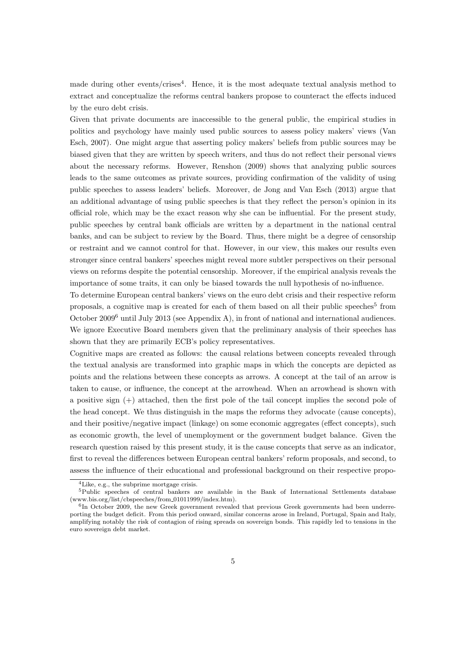made during other events/crises<sup>4</sup>. Hence, it is the most adequate textual analysis method to extract and conceptualize the reforms central bankers propose to counteract the effects induced by the euro debt crisis.

Given that private documents are inaccessible to the general public, the empirical studies in politics and psychology have mainly used public sources to assess policy makers' views (Van Esch, 2007). One might argue that asserting policy makers' beliefs from public sources may be biased given that they are written by speech writers, and thus do not reflect their personal views about the necessary reforms. However, Renshon (2009) shows that analyzing public sources leads to the same outcomes as private sources, providing confirmation of the validity of using public speeches to assess leaders' beliefs. Moreover, de Jong and Van Esch (2013) argue that an additional advantage of using public speeches is that they reflect the person's opinion in its official role, which may be the exact reason why she can be influential. For the present study, public speeches by central bank officials are written by a department in the national central banks, and can be subject to review by the Board. Thus, there might be a degree of censorship or restraint and we cannot control for that. However, in our view, this makes our results even stronger since central bankers' speeches might reveal more subtler perspectives on their personal views on reforms despite the potential censorship. Moreover, if the empirical analysis reveals the importance of some traits, it can only be biased towards the null hypothesis of no-influence.

To determine European central bankers' views on the euro debt crisis and their respective reform proposals, a cognitive map is created for each of them based on all their public speeches<sup>5</sup> from October 2009<sup>6</sup> until July 2013 (see Appendix A), in front of national and international audiences. We ignore Executive Board members given that the preliminary analysis of their speeches has shown that they are primarily ECB's policy representatives.

Cognitive maps are created as follows: the causal relations between concepts revealed through the textual analysis are transformed into graphic maps in which the concepts are depicted as points and the relations between these concepts as arrows. A concept at the tail of an arrow is taken to cause, or influence, the concept at the arrowhead. When an arrowhead is shown with a positive sign (+) attached, then the first pole of the tail concept implies the second pole of the head concept. We thus distinguish in the maps the reforms they advocate (cause concepts), and their positive/negative impact (linkage) on some economic aggregates (effect concepts), such as economic growth, the level of unemployment or the government budget balance. Given the research question raised by this present study, it is the cause concepts that serve as an indicator, first to reveal the differences between European central bankers' reform proposals, and second, to assess the influence of their educational and professional background on their respective propo-

<sup>4</sup>Like, e.g., the subprime mortgage crisis.

<sup>5</sup>Public speeches of central bankers are available in the Bank of International Settlements database  $(www.bis.org/list/cbspeeches/from_01011999/index.htm).$ 

<sup>&</sup>lt;sup>6</sup>In October 2009, the new Greek government revealed that previous Greek governments had been underreporting the budget deficit. From this period onward, similar concerns arose in Ireland, Portugal, Spain and Italy, amplifying notably the risk of contagion of rising spreads on sovereign bonds. This rapidly led to tensions in the euro sovereign debt market.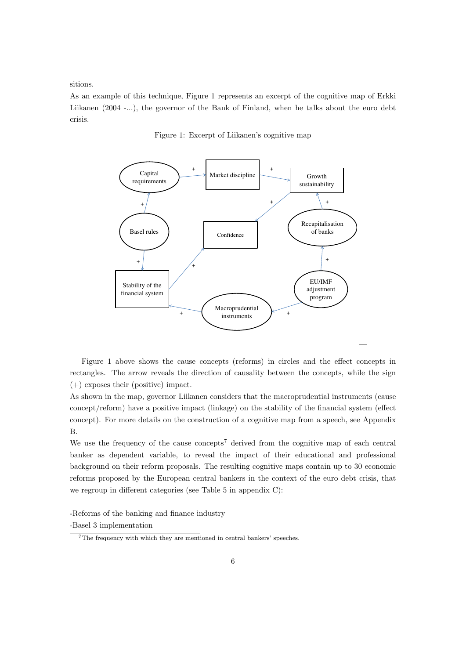sitions.

As an example of this technique, Figure 1 represents an excerpt of the cognitive map of Erkki Liikanen (2004 -...), the governor of the Bank of Finland, when he talks about the euro debt crisis.





Figure 1 above shows the cause concepts (reforms) in circles and the effect concepts in rectangles. The arrow reveals the direction of causality between the concepts, while the sign (+) exposes their (positive) impact.

As shown in the map, governor Liikanen considers that the macroprudential instruments (cause concept/reform) have a positive impact (linkage) on the stability of the financial system (effect concept). For more details on the construction of a cognitive map from a speech, see Appendix B.

We use the frequency of the cause concepts<sup>7</sup> derived from the cognitive map of each central banker as dependent variable, to reveal the impact of their educational and professional background on their reform proposals. The resulting cognitive maps contain up to 30 economic reforms proposed by the European central bankers in the context of the euro debt crisis, that we regroup in different categories (see Table 5 in appendix C):

-Reforms of the banking and finance industry

-Basel 3 implementation

<sup>&</sup>lt;sup>7</sup>The frequency with which they are mentioned in central bankers' speeches.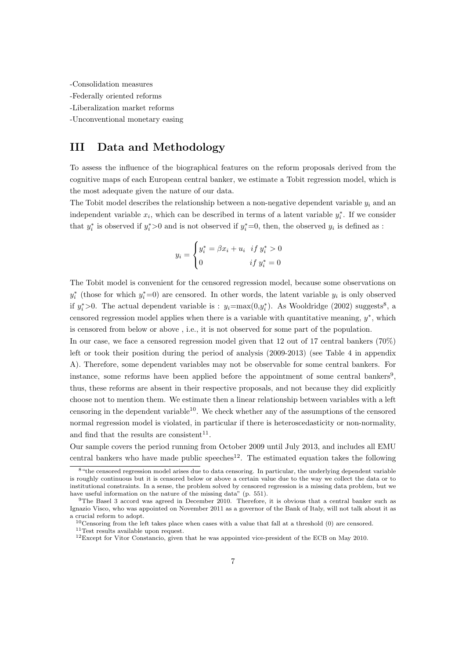-Consolidation measures -Federally oriented reforms -Liberalization market reforms

#### -Unconventional monetary easing

## III Data and Methodology

To assess the influence of the biographical features on the reform proposals derived from the cognitive maps of each European central banker, we estimate a Tobit regression model, which is the most adequate given the nature of our data.

The Tobit model describes the relationship between a non-negative dependent variable  $y_i$  and an independent variable  $x_i$ , which can be described in terms of a latent variable  $y_i^*$ . If we consider that  $y_i^*$  is observed if  $y_i^* > 0$  and is not observed if  $y_i^* = 0$ , then, the observed  $y_i$  is defined as :

$$
y_i = \begin{cases} y_i^* = \beta x_i + u_i & \text{if } y_i^* > 0 \\ 0 & \text{if } y_i^* = 0 \end{cases}
$$

The Tobit model is convenient for the censored regression model, because some observations on  $y_i^*$  (those for which  $y_i^*$ =0) are censored. In other words, the latent variable  $y_i$  is only observed if  $y_i^* > 0$ . The actual dependent variable is :  $y_i = \max(0, y_i^*)$ . As Wooldridge (2002) suggests<sup>8</sup>, a censored regression model applies when there is a variable with quantitative meaning,  $y^*$ , which is censored from below or above , i.e., it is not observed for some part of the population.

In our case, we face a censored regression model given that 12 out of 17 central bankers (70%) left or took their position during the period of analysis (2009-2013) (see Table 4 in appendix A). Therefore, some dependent variables may not be observable for some central bankers. For instance, some reforms have been applied before the appointment of some central bankers<sup>9</sup>, thus, these reforms are absent in their respective proposals, and not because they did explicitly choose not to mention them. We estimate then a linear relationship between variables with a left censoring in the dependent variable $^{10}$ . We check whether any of the assumptions of the censored normal regression model is violated, in particular if there is heteroscedasticity or non-normality, and find that the results are consistent<sup>11</sup>.

Our sample covers the period running from October 2009 until July 2013, and includes all EMU central bankers who have made public speeches<sup>12</sup>. The estimated equation takes the following

<sup>8</sup>"the censored regression model arises due to data censoring. In particular, the underlying dependent variable is roughly continuous but it is censored below or above a certain value due to the way we collect the data or to institutional constraints. In a sense, the problem solved by censored regression is a missing data problem, but we have useful information on the nature of the missing data" (p. 551).

<sup>9</sup>The Basel 3 accord was agreed in December 2010. Therefore, it is obvious that a central banker such as Ignazio Visco, who was appointed on November 2011 as a governor of the Bank of Italy, will not talk about it as a crucial reform to adopt.

 $10$ Censoring from the left takes place when cases with a value that fall at a threshold  $(0)$  are censored.  $^{11}\mathrm{Test}$  results available upon request.

 $12$ Except for Vitor Constancio, given that he was appointed vice-president of the ECB on May 2010.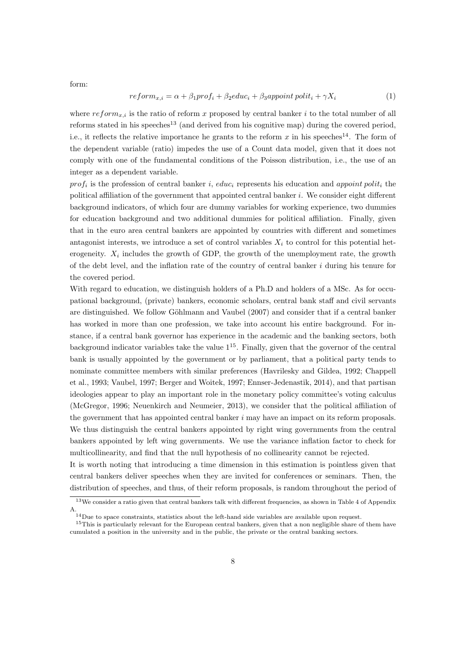form:

$$
reform_{x,i} = \alpha + \beta_1 prof_i + \beta_2 educ_i + \beta_3 appoint polit_i + \gamma X_i
$$
\n(1)

where  $reform_{x,i}$  is the ratio of reform x proposed by central banker i to the total number of all reforms stated in his speeches<sup>13</sup> (and derived from his cognitive map) during the covered period, i.e., it reflects the relative importance he grants to the reform x in his speeches<sup>14</sup>. The form of the dependent variable (ratio) impedes the use of a Count data model, given that it does not comply with one of the fundamental conditions of the Poisson distribution, i.e., the use of an integer as a dependent variable.

 $prof_i$  is the profession of central banker i,  $educ_i$  represents his education and appoint polit<sub>i</sub> the political affiliation of the government that appointed central banker  $i$ . We consider eight different background indicators, of which four are dummy variables for working experience, two dummies for education background and two additional dummies for political affiliation. Finally, given that in the euro area central bankers are appointed by countries with different and sometimes antagonist interests, we introduce a set of control variables  $X_i$  to control for this potential heterogeneity.  $X_i$  includes the growth of GDP, the growth of the unemployment rate, the growth of the debt level, and the inflation rate of the country of central banker  $i$  during his tenure for the covered period.

With regard to education, we distinguish holders of a Ph.D and holders of a MSc. As for occupational background, (private) bankers, economic scholars, central bank staff and civil servants are distinguished. We follow Göhlmann and Vaubel (2007) and consider that if a central banker has worked in more than one profession, we take into account his entire background. For instance, if a central bank governor has experience in the academic and the banking sectors, both background indicator variables take the value  $1^{15}$ . Finally, given that the governor of the central bank is usually appointed by the government or by parliament, that a political party tends to nominate committee members with similar preferences (Havrilesky and Gildea, 1992; Chappell et al., 1993; Vaubel, 1997; Berger and Woitek, 1997; Ennser-Jedenastik, 2014), and that partisan ideologies appear to play an important role in the monetary policy committee's voting calculus (McGregor, 1996; Neuenkirch and Neumeier, 2013), we consider that the political affiliation of the government that has appointed central banker  $i$  may have an impact on its reform proposals. We thus distinguish the central bankers appointed by right wing governments from the central bankers appointed by left wing governments. We use the variance inflation factor to check for multicollinearity, and find that the null hypothesis of no collinearity cannot be rejected.

It is worth noting that introducing a time dimension in this estimation is pointless given that central bankers deliver speeches when they are invited for conferences or seminars. Then, the distribution of speeches, and thus, of their reform proposals, is random throughout the period of

<sup>&</sup>lt;sup>13</sup>We consider a ratio given that central bankers talk with different frequencies, as shown in Table 4 of Appendix A.

 $^{14}\rm{Due}$  to space constraints, statistics about the left-hand side variables are available upon request.

<sup>15</sup>This is particularly relevant for the European central bankers, given that a non negligible share of them have cumulated a position in the university and in the public, the private or the central banking sectors.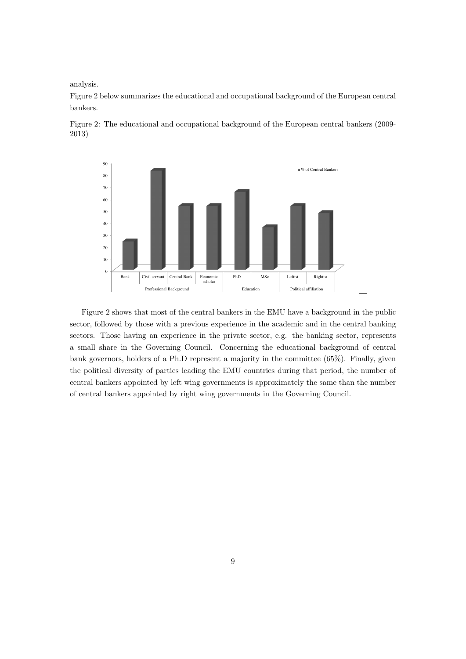analysis.

Figure 2 below summarizes the educational and occupational background of the European central bankers.



Figure 2: The educational and occupational background of the European central bankers (2009- 2013)

Figure 2 shows that most of the central bankers in the EMU have a background in the public sector, followed by those with a previous experience in the academic and in the central banking sectors. Those having an experience in the private sector, e.g. the banking sector, represents a small share in the Governing Council. Concerning the educational background of central bank governors, holders of a Ph.D represent a majority in the committee (65%). Finally, given the political diversity of parties leading the EMU countries during that period, the number of central bankers appointed by left wing governments is approximately the same than the number of central bankers appointed by right wing governments in the Governing Council.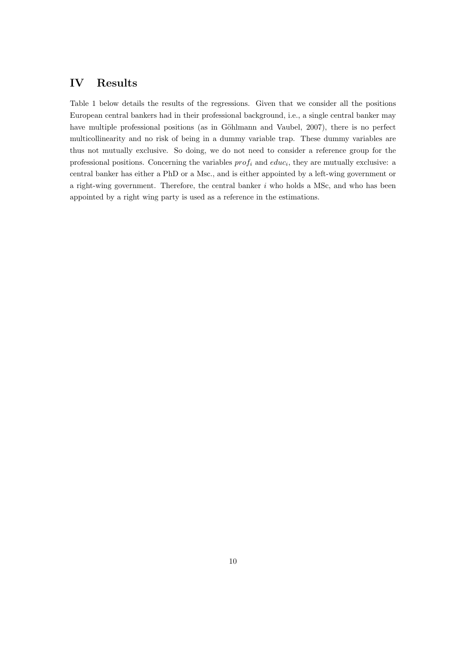# IV Results

Table 1 below details the results of the regressions. Given that we consider all the positions European central bankers had in their professional background, i.e., a single central banker may have multiple professional positions (as in Göhlmann and Vaubel, 2007), there is no perfect multicollinearity and no risk of being in a dummy variable trap. These dummy variables are thus not mutually exclusive. So doing, we do not need to consider a reference group for the professional positions. Concerning the variables  $proj_i$  and  $educ_i$ , they are mutually exclusive: a central banker has either a PhD or a Msc., and is either appointed by a left-wing government or a right-wing government. Therefore, the central banker  $i$  who holds a MSc, and who has been appointed by a right wing party is used as a reference in the estimations.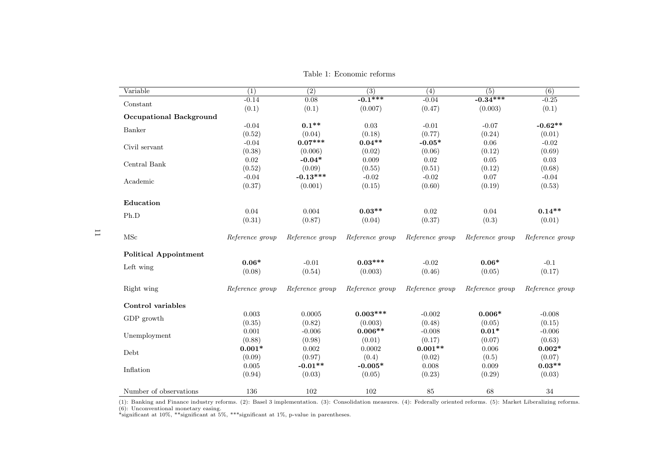| Variable                       | $\overline{(1)}$ | $\overline{(2)}$ | $\overline{(3)}$   | $\overline{(4)}$ | $\overline{(5)}$ | $\overline{(6)}$ |
|--------------------------------|------------------|------------------|--------------------|------------------|------------------|------------------|
| Constant                       | $-0.14$          | 0.08             | $-0.1***$          | $-0.04$          | $-0.34***$       | $-0.25$          |
|                                | (0.1)            | (0.1)            | (0.007)            | (0.47)           | (0.003)          | (0.1)            |
| <b>Occupational Background</b> |                  |                  |                    |                  |                  |                  |
| Banker                         | $-0.04$          | $0.1**$          | $\,0.03\,$         | $-0.01$          | $-0.07$          | $-0.62**$        |
|                                | (0.52)           | (0.04)           | (0.18)             | (0.77)           | (0.24)           | (0.01)           |
| Civil servant                  | $-0.04$          | $0.07***$        | $0.04**$           | $-0.05*$         | $0.06\,$         | $-0.02$          |
|                                | (0.38)           | (0.006)          | (0.02)             | (0.06)           | (0.12)           | (0.69)           |
| Central Bank                   | $0.02\,$         | $-0.04*$         | 0.009              | 0.02             | $0.05\,$         | 0.03             |
|                                | (0.52)           | (0.09)           | (0.55)             | (0.51)           | (0.12)           | (0.68)           |
| Academic                       | $-0.04$          | $-0.13***$       | $-0.02$            | $-0.02$          | 0.07             | $-0.04$          |
|                                | (0.37)           | (0.001)          | (0.15)             | (0.60)           | (0.19)           | (0.53)           |
| Education                      |                  |                  |                    |                  |                  |                  |
|                                | 0.04             | 0.004            | $0.03**$           | 0.02             | 0.04             | $0.14**$         |
| Ph.D                           | (0.31)           | (0.87)           | (0.04)             | (0.37)           | (0.3)            | (0.01)           |
|                                |                  |                  |                    |                  |                  |                  |
| MSc                            | Reference group  | Reference group  | Reference group    | Reference group  | Reference group  | Reference group  |
| <b>Political Appointment</b>   |                  |                  |                    |                  |                  |                  |
|                                | $0.06*$          | $-0.01$          | $0.03***$          | $-0.02$          | $0.06*$          | $-0.1$           |
| Left wing                      | (0.08)           | (0.54)           | (0.003)            | (0.46)           | (0.05)           | (0.17)           |
| Right wing                     | Reference group  | Reference group  | Reference group    | Reference group  | Reference group  | Reference group  |
|                                |                  |                  |                    |                  |                  |                  |
| Control variables              |                  |                  |                    |                  |                  |                  |
|                                | 0.003            | 0.0005           | $0.003***$         | $-0.002$         | $0.006*$         | $-0.008$         |
| GDP growth                     | (0.35)           | (0.82)           | (0.003)            | (0.48)           | (0.05)           | (0.15)           |
| Unemployment                   | 0.001            | $-0.006$         | $0.006**$          | $-0.008$         | $0.01*$          | $-0.006$         |
|                                | (0.88)           | (0.98)           | (0.01)             | (0.17)           | (0.07)           | (0.63)           |
| Debt                           | $0.001*$         | 0.002            | 0.0002             | $0.001**$        | 0.006            | $0.002*$         |
|                                | (0.09)           | (0.97)           | (0.4)              | (0.02)           | (0.5)            | (0.07)           |
| Inflation                      | 0.005            | $-0.01**$        | $\textbf{-0.005*}$ | 0.008            | 0.009            | $0.03**$         |
|                                | (0.94)           | (0.03)           | (0.05)             | (0.23)           | (0.29)           | (0.03)           |
| Number of observations         | 136              | 102              | 102                | 85               | 68               | $34\,$           |
|                                |                  |                  |                    |                  |                  |                  |

Table 1: Economic reforms

(1): Banking and Finance industry reforms. (2): Basel 3 implementation. (3): Consolidation measures. (4): Federally oriented reforms. (5): Market Liberalizing reforms.<br>(6): Unconventional monetary easing.<br>\*significant at 1

 $\overline{\Box}$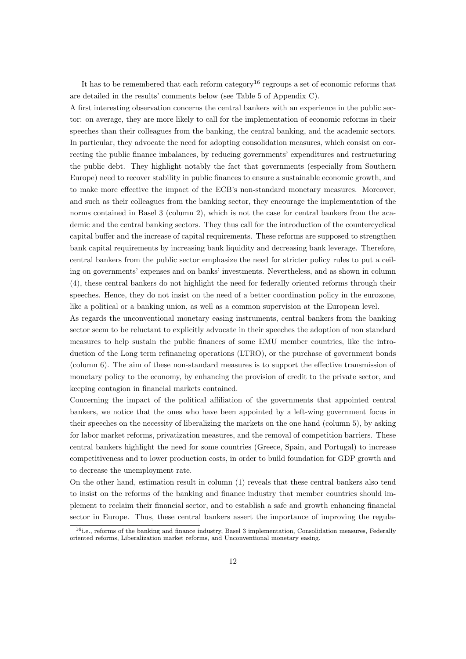It has to be remembered that each reform category<sup>16</sup> regroups a set of economic reforms that are detailed in the results' comments below (see Table 5 of Appendix C).

A first interesting observation concerns the central bankers with an experience in the public sector: on average, they are more likely to call for the implementation of economic reforms in their speeches than their colleagues from the banking, the central banking, and the academic sectors. In particular, they advocate the need for adopting consolidation measures, which consist on correcting the public finance imbalances, by reducing governments' expenditures and restructuring the public debt. They highlight notably the fact that governments (especially from Southern Europe) need to recover stability in public finances to ensure a sustainable economic growth, and to make more effective the impact of the ECB's non-standard monetary measures. Moreover, and such as their colleagues from the banking sector, they encourage the implementation of the norms contained in Basel 3 (column 2), which is not the case for central bankers from the academic and the central banking sectors. They thus call for the introduction of the countercyclical capital buffer and the increase of capital requirements. These reforms are supposed to strengthen bank capital requirements by increasing bank liquidity and decreasing bank leverage. Therefore, central bankers from the public sector emphasize the need for stricter policy rules to put a ceiling on governments' expenses and on banks' investments. Nevertheless, and as shown in column (4), these central bankers do not highlight the need for federally oriented reforms through their speeches. Hence, they do not insist on the need of a better coordination policy in the eurozone, like a political or a banking union, as well as a common supervision at the European level.

As regards the unconventional monetary easing instruments, central bankers from the banking sector seem to be reluctant to explicitly advocate in their speeches the adoption of non standard measures to help sustain the public finances of some EMU member countries, like the introduction of the Long term refinancing operations (LTRO), or the purchase of government bonds (column 6). The aim of these non-standard measures is to support the effective transmission of monetary policy to the economy, by enhancing the provision of credit to the private sector, and keeping contagion in financial markets contained.

Concerning the impact of the political affiliation of the governments that appointed central bankers, we notice that the ones who have been appointed by a left-wing government focus in their speeches on the necessity of liberalizing the markets on the one hand (column 5), by asking for labor market reforms, privatization measures, and the removal of competition barriers. These central bankers highlight the need for some countries (Greece, Spain, and Portugal) to increase competitiveness and to lower production costs, in order to build foundation for GDP growth and to decrease the unemployment rate.

On the other hand, estimation result in column (1) reveals that these central bankers also tend to insist on the reforms of the banking and finance industry that member countries should implement to reclaim their financial sector, and to establish a safe and growth enhancing financial sector in Europe. Thus, these central bankers assert the importance of improving the regula-

<sup>16</sup>i.e., reforms of the banking and finance industry, Basel 3 implementation, Consolidation measures, Federally oriented reforms, Liberalization market reforms, and Unconventional monetary easing.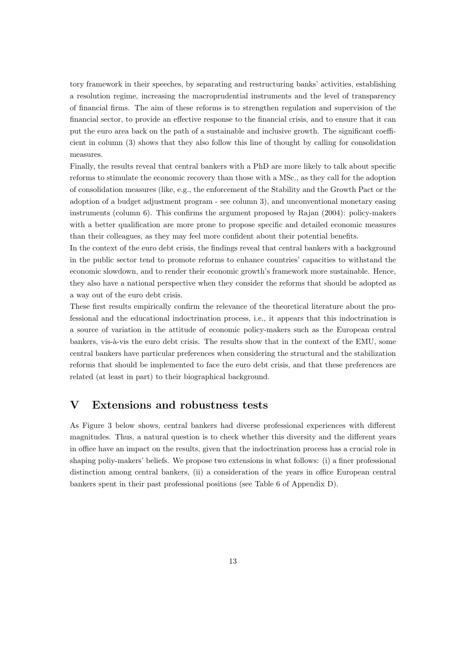tory framework in their speeches, by separating and restructuring banks' activities, establishing a resolution regime, increasing the macroprudential instruments and the level of transparency of financial firms. The aim of these reforms is to strengthen regulation and supervision of the financial sector, to provide an effective response to the financial crisis, and to ensure that it can put the euro area back on the path of a sustainable and inclusive growth. The significant coefficient in column (3) shows that they also follow this line of thought by calling for consolidation measures.

Finally, the results reveal that central bankers with a PhD are more likely to talk about specific reforms to stimulate the economic recovery than those with a MSc., as they call for the adoption of consolidation measures (like, e.g., the enforcement of the Stability and the Growth Pact or the adoption of a budget adjustment program - see column 3), and unconventional monetary easing instruments (column 6). This confirms the argument proposed by Rajan (2004): policy-makers with a better qualification are more prone to propose specific and detailed economic measures than their colleagues, as they may feel more confident about their potential benefits.

In the context of the euro debt crisis, the findings reveal that central bankers with a background in the public sector tend to promote reforms to enhance countries' capacities to withstand the economic slowdown, and to render their economic growth's framework more sustainable. Hence, they also have a national perspective when they consider the reforms that should be adopted as a way out of the euro debt crisis.

These first results empirically confirm the relevance of the theoretical literature about the professional and the educational indoctrination process, i.e., it appears that this indoctrination is a source of variation in the attitude of economic policy-makers such as the European central bankers, vis-à-vis the euro debt crisis. The results show that in the context of the EMU, some central bankers have particular preferences when considering the structural and the stabilization reforms that should be implemented to face the euro debt crisis, and that these preferences are related (at least in part) to their biographical background.

### V Extensions and robustness tests

As Figure 3 below shows, central bankers had diverse professional experiences with different magnitudes. Thus, a natural question is to check whether this diversity and the different years in office have an impact on the results, given that the indoctrination process has a crucial role in shaping poliy-makers' beliefs. We propose two extensions in what follows: (i) a finer professional distinction among central bankers, (ii) a consideration of the years in office European central bankers spent in their past professional positions (see Table 6 of Appendix D).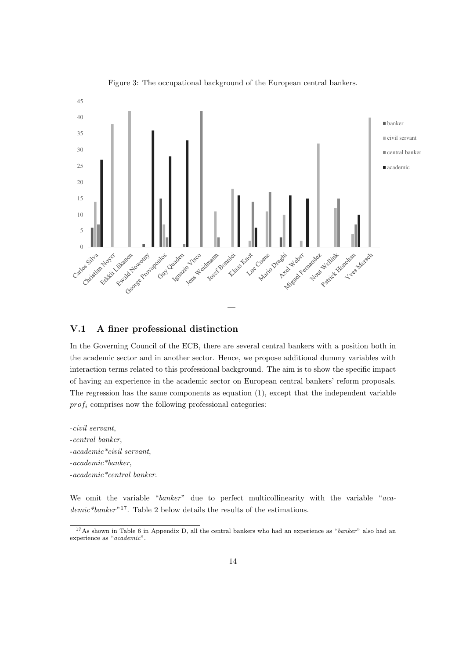

Figure 3: The occupational background of the European central bankers.

#### V.1 A finer professional distinction

In the Governing Council of the ECB, there are several central bankers with a position both in the academic sector and in another sector. Hence, we propose additional dummy variables with interaction terms related to this professional background. The aim is to show the specific impact of having an experience in the academic sector on European central bankers' reform proposals. The regression has the same components as equation (1), except that the independent variable  $prof_i$  comprises now the following professional categories:

-civil servant,

-central banker,

-academic\*civil servant,

-academic\*banker,

-academic\*central banker.

We omit the variable "banker" due to perfect multicollinearity with the variable "academic\*banker<sup>"17</sup>. Table 2 below details the results of the estimations.

 $17$ As shown in Table 6 in Appendix D, all the central bankers who had an experience as "banker" also had an experience as "academic".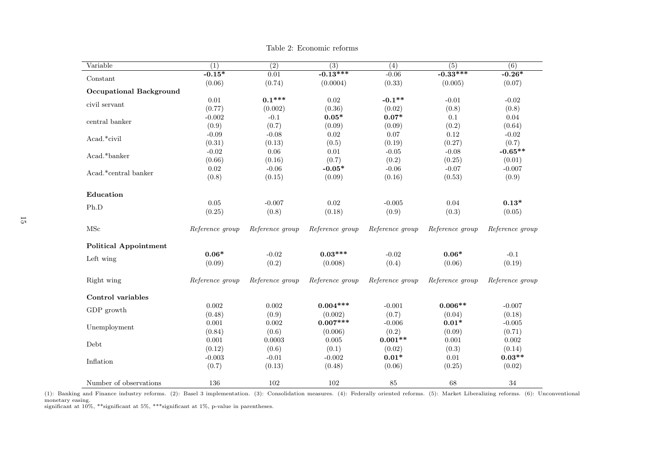| Variable                       | $\overline{(1)}$ | $\overline{(2)}$ | $\overline{(3)}$ | (4)             | $\overline{(5)}$ | (6)             |
|--------------------------------|------------------|------------------|------------------|-----------------|------------------|-----------------|
| Constant                       | $-0.15*$         | 0.01             | $-0.13***$       | $-0.06$         | $-0.33***$       | $-0.26*$        |
|                                | (0.06)           | (0.74)           | (0.0004)         | (0.33)          | (0.005)          | (0.07)          |
| <b>Occupational Background</b> |                  |                  |                  |                 |                  |                 |
| civil servant                  | 0.01             | $0.1***$         | 0.02             | $-0.1***$       | $-0.01$          | $-0.02$         |
|                                | (0.77)           | (0.002)          | (0.36)           | (0.02)          | (0.8)            | (0.8)           |
| central banker                 | $-0.002$         | $-0.1$           | $0.05*$          | $0.07*$         | 0.1              | 0.04            |
|                                | (0.9)            | (0.7)            | (0.09)           | (0.09)          | (0.2)            | (0.64)          |
| Acad.*civil                    | $-0.09$          | $-0.08$          | 0.02             | 0.07            | 0.12             | $-0.02$         |
|                                | (0.31)           | (0.13)           | (0.5)            | (0.19)          | (0.27)           | (0.7)           |
| Acad.*banker                   | $-0.02$          | 0.06             | 0.01             | $-0.05$         | $-0.08$          | $-0.65**$       |
|                                | (0.66)           | (0.16)           | (0.7)            | (0.2)           | (0.25)           | (0.01)          |
| Acad.*central banker           | 0.02             | $-0.06$          | $-0.05*$         | $-0.06$         | $-0.07$          | $-0.007$        |
|                                | (0.8)            | (0.15)           | (0.09)           | (0.16)          | (0.53)           | (0.9)           |
| Education                      |                  |                  |                  |                 |                  |                 |
|                                | 0.05             | $-0.007$         | 0.02             | $-0.005$        | 0.04             | $0.13*$         |
| Ph.D                           | (0.25)           | (0.8)            | (0.18)           | (0.9)           | (0.3)            | (0.05)          |
|                                |                  |                  |                  |                 |                  |                 |
| MSc                            | Reference group  | Reference group  | Reference group  | Reference group | Reference group  | Reference group |
| <b>Political Appointment</b>   |                  |                  |                  |                 |                  |                 |
|                                | $0.06*$          | $-0.02$          | $0.03***$        | $-0.02$         | $0.06*$          | $-0.1$          |
| Left wing                      | (0.09)           | (0.2)            | (0.008)          | (0.4)           | (0.06)           | (0.19)          |
| Right wing                     | Reference group  | Reference group  | Reference group  | Reference group | Reference group  | Reference group |
| Control variables              |                  |                  |                  |                 |                  |                 |
|                                | 0.002            | 0.002            | $0.004***$       | $-0.001$        | $0.006**$        | $-0.007$        |
| GDP growth                     | (0.48)           | (0.9)            | (0.002)          | (0.7)           | (0.04)           | (0.18)          |
|                                | 0.001            | $0.002\,$        | $0.007***$       | $-0.006$        | $0.01*$          | $-0.005$        |
| Unemployment                   | (0.84)           | (0.6)            | (0.006)          | (0.2)           | (0.09)           | (0.71)          |
|                                | 0.001            | 0.0003           | 0.005            | $0.001**$       | 0.001            | 0.002           |
| Debt                           | (0.12)           | (0.6)            | (0.1)            | (0.02)          | (0.3)            | (0.14)          |
|                                | $-0.003$         | $-0.01$          | $-0.002$         | $0.01*$         | 0.01             | $0.03**$        |
| Inflation                      | (0.7)            | (0.13)           | (0.48)           | (0.06)          | (0.25)           | (0.02)          |
|                                |                  |                  |                  |                 |                  |                 |
| Number of observations         | 136              | 102              | 102              | 85              | 68               | 34              |

Table 2: Economic reforms

(1): Banking and Finance industry reforms. (2): Basel 3 implementation. (3): Consolidation measures. (4): Federally oriented reforms. (5): Market Liberalizing reforms. (6): Unconventional monetary easing.

significant at 10%, \*\*significant at 5%, \*\*\*significant at 1%, p-value in parentheses.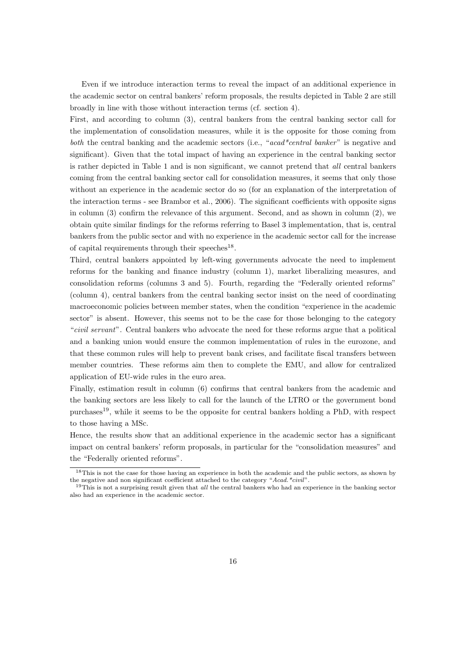Even if we introduce interaction terms to reveal the impact of an additional experience in the academic sector on central bankers' reform proposals, the results depicted in Table 2 are still broadly in line with those without interaction terms (cf. section 4).

First, and according to column (3), central bankers from the central banking sector call for the implementation of consolidation measures, while it is the opposite for those coming from both the central banking and the academic sectors (i.e., "acad\*central banker" is negative and significant). Given that the total impact of having an experience in the central banking sector is rather depicted in Table 1 and is non significant, we cannot pretend that all central bankers coming from the central banking sector call for consolidation measures, it seems that only those without an experience in the academic sector do so (for an explanation of the interpretation of the interaction terms - see Brambor et al., 2006). The significant coefficients with opposite signs in column (3) confirm the relevance of this argument. Second, and as shown in column (2), we obtain quite similar findings for the reforms referring to Basel 3 implementation, that is, central bankers from the public sector and with no experience in the academic sector call for the increase of capital requirements through their speeches<sup>18</sup>.

Third, central bankers appointed by left-wing governments advocate the need to implement reforms for the banking and finance industry (column 1), market liberalizing measures, and consolidation reforms (columns 3 and 5). Fourth, regarding the "Federally oriented reforms" (column 4), central bankers from the central banking sector insist on the need of coordinating macroeconomic policies between member states, when the condition "experience in the academic sector" is absent. However, this seems not to be the case for those belonging to the category "civil servant". Central bankers who advocate the need for these reforms argue that a political and a banking union would ensure the common implementation of rules in the eurozone, and that these common rules will help to prevent bank crises, and facilitate fiscal transfers between member countries. These reforms aim then to complete the EMU, and allow for centralized application of EU-wide rules in the euro area.

Finally, estimation result in column (6) confirms that central bankers from the academic and the banking sectors are less likely to call for the launch of the LTRO or the government bond purchases<sup>19</sup>, while it seems to be the opposite for central bankers holding a PhD, with respect to those having a MSc.

Hence, the results show that an additional experience in the academic sector has a significant impact on central bankers' reform proposals, in particular for the "consolidation measures" and the "Federally oriented reforms".

<sup>&</sup>lt;sup>18</sup>This is not the case for those having an experience in both the academic and the public sectors, as shown by the negative and non significant coefficient attached to the category "Acad.\*civil".

 $19$ This is not a surprising result given that all the central bankers who had an experience in the banking sector also had an experience in the academic sector.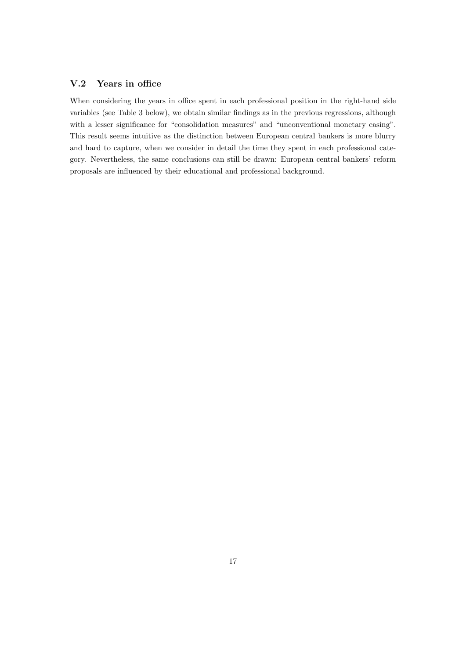#### V.2 Years in office

When considering the years in office spent in each professional position in the right-hand side variables (see Table 3 below), we obtain similar findings as in the previous regressions, although with a lesser significance for "consolidation measures" and "unconventional monetary easing". This result seems intuitive as the distinction between European central bankers is more blurry and hard to capture, when we consider in detail the time they spent in each professional category. Nevertheless, the same conclusions can still be drawn: European central bankers' reform proposals are influenced by their educational and professional background.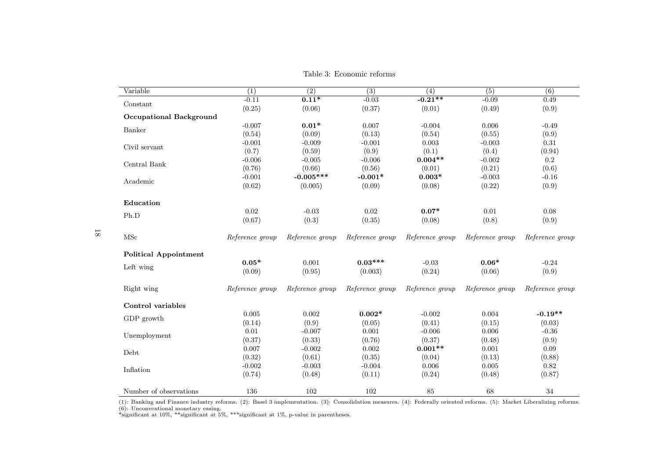| Variable                       | $\overline{(1)}$ | $\overline{(2)}$ | $\overline{(3)}$ | $\overline{(4)}$ | $\overline{(5)}$ | $\overline{(6)}$ |
|--------------------------------|------------------|------------------|------------------|------------------|------------------|------------------|
| Constant                       | $-0.11$          | $0.11*$          | $-0.03$          | $-0.21***$       | $-0.09$          | 0.49             |
|                                | (0.25)           | (0.06)           | (0.37)           | (0.01)           | (0.49)           | (0.9)            |
| <b>Occupational Background</b> |                  |                  |                  |                  |                  |                  |
| Banker                         | $-0.007$         | $0.01*$          | 0.007            | $-0.004$         | 0.006            | $-0.49$          |
|                                | (0.54)           | (0.09)           | (0.13)           | (0.54)           | (0.55)           | (0.9)            |
| Civil servant                  | $-0.001$         | $-0.009$         | $-0.001$         | 0.003            | $-0.003$         | 0.31             |
| (0.7)<br>$-0.006$              | (0.59)           | (0.9)            | (0.1)            | (0.4)            | (0.94)           |                  |
| Central Bank                   |                  | $-0.005$         | $-0.006$         | $0.004**$        | $-0.002$         | $0.2\,$          |
|                                | (0.76)           | (0.66)           | (0.56)           | (0.01)           | (0.21)           | (0.6)            |
| Academic                       | $-0.001$         | $-0.005***$      | $-0.001*$        | $0.003*$         | $-0.003$         | $-0.16$          |
|                                | (0.62)           | (0.005)          | (0.09)           | (0.08)           | (0.22)           | (0.9)            |
| Education                      |                  |                  |                  |                  |                  |                  |
|                                | 0.02             | $-0.03$          | $0.02\,$         | $0.07*$          | $0.01\,$         | 0.08             |
| Ph.D                           | (0.67)           | (0.3)            | (0.35)           | (0.08)           | (0.8)            | (0.9)            |
| MSc                            | Reference group  | Reference group  | Reference group  | Reference group  | Reference group  | Reference group  |
| <b>Political Appointment</b>   |                  |                  |                  |                  |                  |                  |
|                                | $0.05*$          | 0.001            | $0.03***$        | $-0.03$          | $0.06*$          | $-0.24$          |
| Left wing                      | (0.09)           | (0.95)           | (0.003)          | (0.24)           | (0.06)           | (0.9)            |
| Right wing                     | Reference group  | Reference group  | Reference group  | Reference group  | Reference group  | Reference group  |
| Control variables              |                  |                  |                  |                  |                  |                  |
| GDP growth                     | 0.005            | 0.002            | $0.002*$         | $-0.002$         | 0.004            | $-0.19**$        |
|                                | (0.14)           | (0.9)            | (0.05)           | (0.41)           | (0.15)           | (0.03)           |
|                                | 0.01             | $-0.007$         | 0.001            | $-0.006$         | 0.006            | $-0.36$          |
| Unemployment                   | (0.37)           | (0.33)           | (0.76)           | (0.37)           | (0.48)           | (0.9)            |
|                                | 0.007            | $-0.002$         | 0.002            | $0.001**$        | 0.001            | 0.09             |
| Debt                           | (0.32)           | (0.61)           | (0.35)           | (0.04)           | (0.13)           | (0.88)           |
| Inflation                      | $-0.002$         | $-0.003$         | $-0.004$         | 0.006            | 0.005            | 0.82             |
|                                | (0.74)           | (0.48)           | (0.11)           | (0.24)           | (0.48)           | (0.87)           |
| Number of observations         | 136              | 102              | 102              | 85               | 68               | $34\,$           |

Table 3: Economic reforms

(1): Banking and Finance industry reforms. (2): Basel 3 implementation. (3): Consolidation measures. (4): Federally oriented reforms. (5): Market Liberalizing reforms.<br>(6): Unconventional monetary easing.<br>\*significant at 1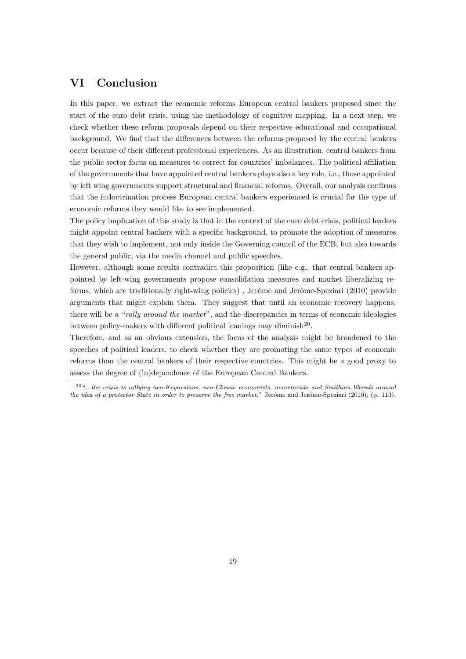## VI Conclusion

In this paper, we extract the economic reforms European central bankers proposed since the start of the euro debt crisis, using the methodology of cognitive mapping. In a next step, we check whether these reform proposals depend on their respective educational and occupational background. We find that the differences between the reforms proposed by the central bankers occur because of their different professional experiences. As an illustration, central bankers from the public sector focus on measures to correct for countries' imbalances. The political affiliation of the governments that have appointed central bankers plays also a key role, i.e., those appointed by left wing governments support structural and financial reforms. Overall, our analysis confirms that the indoctrination process European central bankers experienced is crucial for the type of economic reforms they would like to see implemented.

The policy implication of this study is that in the context of the euro debt crisis, political leaders might appoint central bankers with a specific background, to promote the adoption of measures that they wish to implement, not only inside the Governing council of the ECB, but also towards the general public, via the media channel and public speeches.

However, although some results contradict this proposition (like e.g., that central bankers appointed by left-wing governments propose consolidation measures and market liberalizing reforms, which are traditionally right-wing policies), Jerôme and Jerôme-Speziari (2010) provide arguments that might explain them. They suggest that until an economic recovery happens, there will be a "rally around the market", and the discrepancies in terms of economic ideologies between policy-makers with different political leanings may diminish<sup>20</sup>.

Therefore, and as an obvious extension, the focus of the analysis might be broadened to the speeches of political leaders, to check whether they are promoting the same types of economic reforms than the central bankers of their respective countries. This might be a good proxy to assess the degree of (in)dependence of the European Central Bankers.

<sup>20</sup>"...the crisis is rallying neo-Keynesians, neo-Classic economists, monetarists and Smithian liberals around the idea of a protector State in order to preserve the free market." Jerôme and Jerôme-Speziari (2010), (p. 113).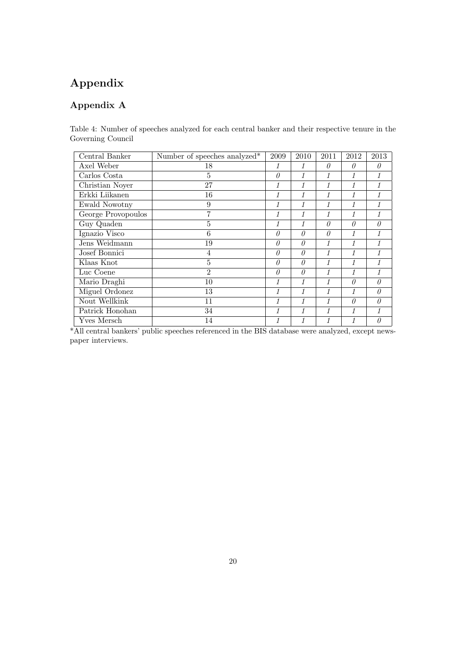# Appendix

# Appendix A

Table 4: Number of speeches analyzed for each central banker and their respective tenure in the Governing Council

| Central Banker     | Number of speeches analyzed* | 2009     | 2010         | 2011          | 2012          | 2013          |
|--------------------|------------------------------|----------|--------------|---------------|---------------|---------------|
| Axel Weber         | 18                           | 1        | 1            | $\theta$      | $\theta$      | $\theta$      |
| Carlos Costa       | 5                            | $\theta$ | $\mathcal I$ | $\mathcal I$  | $\mathcal I$  | $\mathcal I$  |
| Christian Noyer    | 27                           | 1        | $\mathcal I$ | $\mathcal{I}$ | $\mathcal I$  | 1             |
| Erkki Liikanen     | 16                           | 1        | 1            | 1             | $\mathcal I$  | 1             |
| Ewald Nowotny      | 9                            | 1        | 1            | 1             | $\mathcal I$  | 1             |
| George Provopoulos | 7                            | 1        | $\mathcal I$ | 1             | $\mathcal{I}$ | 1             |
| Guy Quaden         | 5                            | 1        | 1            | $\theta$      | $\theta$      | $\theta$      |
| Ignazio Visco      | 6                            | $\theta$ | $\theta$     | $\theta$      | $\mathcal I$  | $\mathcal{I}$ |
| Jens Weidmann      | 19                           | $\theta$ | $\theta$     | $\mathcal{I}$ | 1             | 1             |
| Josef Bonnici      | 4                            | $\theta$ | $\theta$     | 1             | $\mathcal I$  | 1             |
| Klaas Knot         | 5                            | $\theta$ | $\theta$     | 1             | $\mathcal I$  | 1             |
| Luc Coene          | $\mathfrak{D}$               | $\theta$ | $\theta$     | $\mathcal{I}$ | $\mathcal I$  | 1             |
| Mario Draghi       | 10                           | 1        | 1            | $\mathcal{I}$ | $\theta$      | $\theta$      |
| Miguel Ordonez     | 13                           | 1        | 1            | $\mathcal I$  | $\mathcal{I}$ | $\theta$      |
| Nout Wellkink      | 11                           | 1        | $\mathcal I$ | $\mathcal{I}$ | $\theta$      | $\theta$      |
| Patrick Honohan    | 34                           | 1        | 1            | 1             | $\mathcal I$  | $\mathcal I$  |
| Yves Mersch        | 14                           | 1        | 1            | 1             | $\mathcal I$  | 0             |

\*All central bankers' public speeches referenced in the BIS database were analyzed, except newspaper interviews.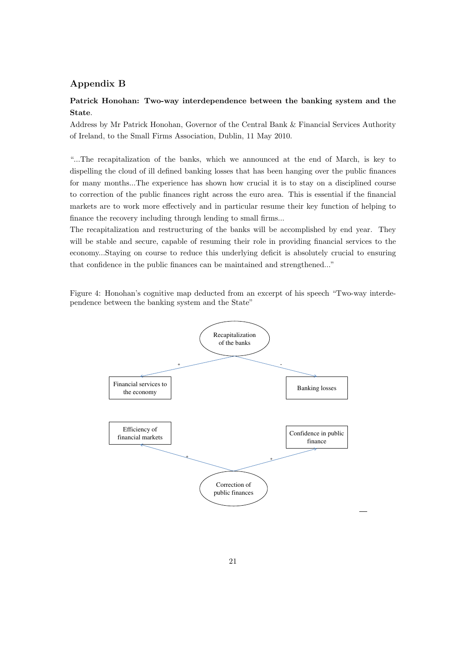#### Appendix B

#### Patrick Honohan: Two-way interdependence between the banking system and the State.

Address by Mr Patrick Honohan, Governor of the Central Bank & Financial Services Authority of Ireland, to the Small Firms Association, Dublin, 11 May 2010.

"...The recapitalization of the banks, which we announced at the end of March, is key to dispelling the cloud of ill defined banking losses that has been hanging over the public finances for many months...The experience has shown how crucial it is to stay on a disciplined course to correction of the public finances right across the euro area. This is essential if the financial markets are to work more effectively and in particular resume their key function of helping to finance the recovery including through lending to small firms...

The recapitalization and restructuring of the banks will be accomplished by end year. They will be stable and secure, capable of resuming their role in providing financial services to the economy...Staying on course to reduce this underlying deficit is absolutely crucial to ensuring that confidence in the public finances can be maintained and strengthened..."

Figure 4: Honohan's cognitive map deducted from an excerpt of his speech "Two-way interdependence between the banking system and the State"

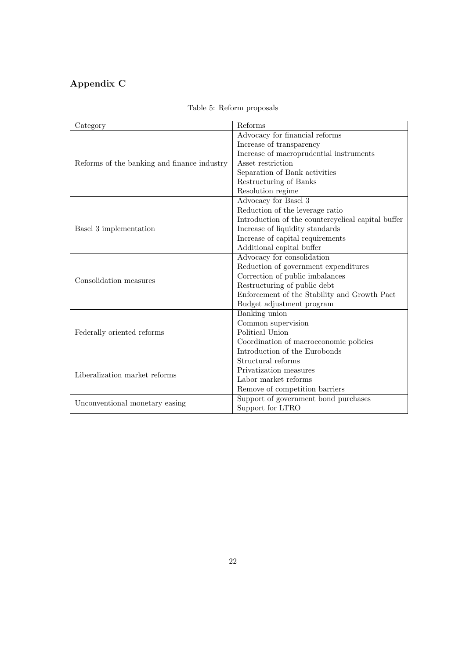# Appendix C

| Category                                    | Reforms                                            |
|---------------------------------------------|----------------------------------------------------|
|                                             | Advocacy for financial reforms                     |
|                                             | Increase of transparency                           |
|                                             | Increase of macroprudential instruments            |
| Reforms of the banking and finance industry | Asset restriction                                  |
|                                             | Separation of Bank activities                      |
|                                             | Restructuring of Banks                             |
|                                             | Resolution regime                                  |
|                                             | Advocacy for Basel 3                               |
|                                             | Reduction of the leverage ratio                    |
|                                             | Introduction of the countercyclical capital buffer |
| Basel 3 implementation                      | Increase of liquidity standards                    |
|                                             | Increase of capital requirements                   |
|                                             | Additional capital buffer                          |
|                                             | Advocacy for consolidation                         |
|                                             | Reduction of government expenditures               |
| Consolidation measures                      | Correction of public imbalances                    |
|                                             | Restructuring of public debt                       |
|                                             | Enforcement of the Stability and Growth Pact       |
|                                             | Budget adjustment program                          |
|                                             | <b>Banking</b> union                               |
|                                             | Common supervision                                 |
| Federally oriented reforms                  | Political Union                                    |
|                                             | Coordination of macroeconomic policies             |
|                                             | Introduction of the Eurobonds                      |
|                                             | Structural reforms                                 |
| Liberalization market reforms               | Privatization measures                             |
|                                             | Labor market reforms                               |
|                                             | Remove of competition barriers                     |
| Unconventional monetary easing              | Support of government bond purchases               |
|                                             | Support for LTRO                                   |

Table 5: Reform proposals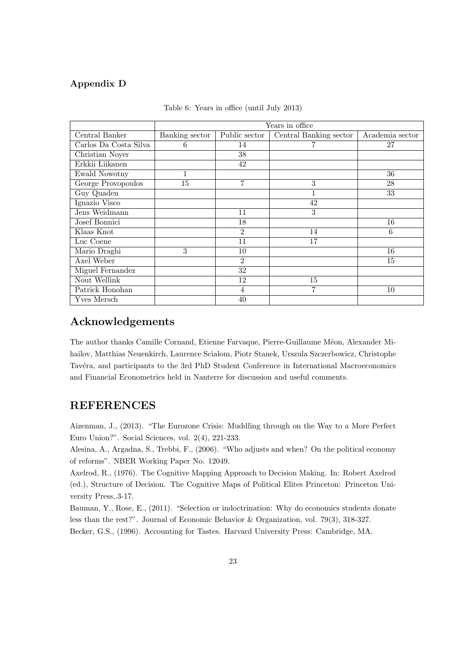#### Appendix D

|                       | Years in office |                |                        |                 |  |  |
|-----------------------|-----------------|----------------|------------------------|-----------------|--|--|
| Central Banker        | Banking sector  | Public sector  | Central Banking sector | Academia sector |  |  |
| Carlos Da Costa Silva | 6               | 14             | 7                      | 27              |  |  |
| Christian Noyer       |                 | 38             |                        |                 |  |  |
| Erkkii Liikanen       |                 | 42             |                        |                 |  |  |
| Ewald Nowotny         | 1               |                |                        | 36              |  |  |
| George Provopoulos    | 15              | 7              | 3                      | 28              |  |  |
| Guy Quaden            |                 |                | T                      | 33              |  |  |
| Ignazio Visco         |                 |                | 42                     |                 |  |  |
| Jens Weidmann         |                 | 11             | 3                      |                 |  |  |
| Josef Bonnici         |                 | 18             |                        | 16              |  |  |
| Klaas Knot            |                 | $\overline{2}$ | 14                     | 6               |  |  |
| Luc Coene             |                 | 11             | 17                     |                 |  |  |
| Mario Draghi          | 3               | 10             |                        | 16              |  |  |
| Axel Weber            |                 | $\overline{2}$ |                        | 15              |  |  |
| Miguel Fernandez      |                 | 32             |                        |                 |  |  |
| Nout Wellink          |                 | 12             | 15                     |                 |  |  |
| Patrick Honohan       |                 | 4              | 7                      | 10              |  |  |
| Yves Mersch           |                 | 40             |                        |                 |  |  |

Table 6: Years in office (until July 2013)

# Acknowledgements

The author thanks Camille Cornand, Etienne Farvaque, Pierre-Guillaume Méon, Alexander Mihailov, Matthias Neuenkirch, Laurence Scialom, Piotr Stanek, Urszula Szczerbowicz, Christophe Tavéra, and participants to the 3rd PhD Student Conference in International Macroeconomics and Financial Econometrics held in Nanterre for discussion and useful comments.

### REFERENCES

Aizenman, J., (2013). "The Eurozone Crisis: Muddling through on the Way to a More Perfect Euro Union?". Social Sciences, vol. 2(4), 221-233.

Alesina, A., Argadna, S., Trebbi, F., (2006). "Who adjusts and when? On the political economy of reforms". NBER Working Paper No. 12049.

Axelrod, R., (1976). The Cognitive Mapping Approach to Decision Making. In: Robert Axelrod (ed.), Structure of Decision. The Cognitive Maps of Political Elites Princeton: Princeton University Press,.3-17.

Bauman, Y., Rose, E., (2011). "Selection or indoctrination: Why do economics students donate less than the rest?". Journal of Economic Behavior & Organization, vol. 79(3), 318-327.

Becker, G.S., (1996). Accounting for Tastes. Harvard University Press: Cambridge, MA.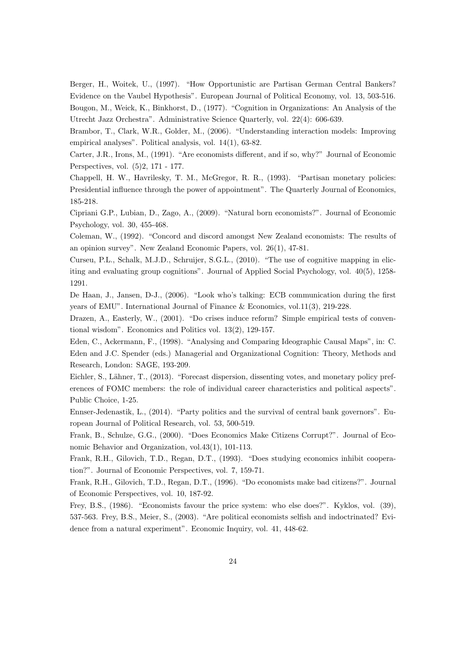Berger, H., Woitek, U., (1997). "How Opportunistic are Partisan German Central Bankers? Evidence on the Vaubel Hypothesis". European Journal of Political Economy, vol. 13, 503-516. Bougon, M., Weick, K., Binkhorst, D., (1977). "Cognition in Organizations: An Analysis of the Utrecht Jazz Orchestra". Administrative Science Quarterly, vol. 22(4): 606-639.

Brambor, T., Clark, W.R., Golder, M., (2006). "Understanding interaction models: Improving empirical analyses". Political analysis, vol. 14(1), 63-82.

Carter, J.R., Irons, M., (1991). "Are economists different, and if so, why?" Journal of Economic Perspectives, vol. (5)2, 171 - 177.

Chappell, H. W., Havrilesky, T. M., McGregor, R. R., (1993). "Partisan monetary policies: Presidential influence through the power of appointment". The Quarterly Journal of Economics, 185-218.

Cipriani G.P., Lubian, D., Zago, A., (2009). "Natural born economists?". Journal of Economic Psychology, vol. 30, 455-468.

Coleman, W., (1992). "Concord and discord amongst New Zealand economists: The results of an opinion survey". New Zealand Economic Papers, vol. 26(1), 47-81.

Curseu, P.L., Schalk, M.J.D., Schruijer, S.G.L., (2010). "The use of cognitive mapping in eliciting and evaluating group cognitions". Journal of Applied Social Psychology, vol. 40(5), 1258- 1291.

De Haan, J., Jansen, D-J., (2006). "Look who's talking: ECB communication during the first years of EMU". International Journal of Finance & Economics, vol.11(3), 219-228.

Drazen, A., Easterly, W., (2001). "Do crises induce reform? Simple empirical tests of conventional wisdom". Economics and Politics vol. 13(2), 129-157.

Eden, C., Ackermann, F., (1998). "Analysing and Comparing Ideographic Causal Maps", in: C. Eden and J.C. Spender (eds.) Managerial and Organizational Cognition: Theory, Methods and Research, London: SAGE, 193-209.

Eichler, S., Lähner, T., (2013). "Forecast dispersion, dissenting votes, and monetary policy preferences of FOMC members: the role of individual career characteristics and political aspects". Public Choice, 1-25.

Ennser-Jedenastik, L., (2014). "Party politics and the survival of central bank governors". European Journal of Political Research, vol. 53, 500-519.

Frank, B., Schulze, G.G., (2000). "Does Economics Make Citizens Corrupt?". Journal of Economic Behavior and Organization, vol.43(1), 101-113.

Frank, R.H., Gilovich, T.D., Regan, D.T., (1993). "Does studying economics inhibit cooperation?". Journal of Economic Perspectives, vol. 7, 159-71.

Frank, R.H., Gilovich, T.D., Regan, D.T., (1996). "Do economists make bad citizens?". Journal of Economic Perspectives, vol. 10, 187-92.

Frey, B.S., (1986). "Economists favour the price system: who else does?". Kyklos, vol. (39), 537-563. Frey, B.S., Meier, S., (2003). "Are political economists selfish and indoctrinated? Evidence from a natural experiment". Economic Inquiry, vol. 41, 448-62.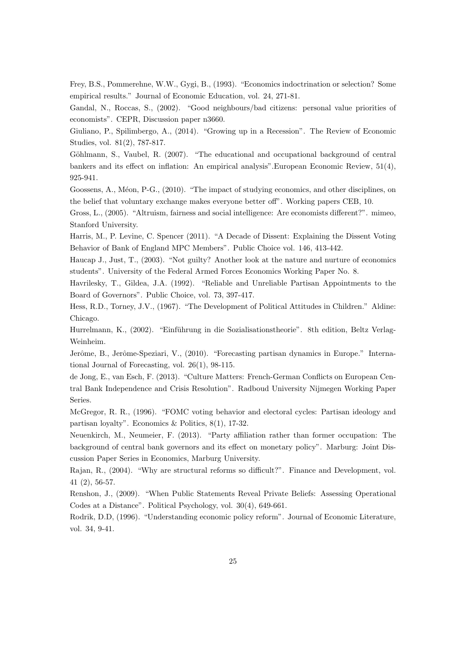Frey, B.S., Pommerehne, W.W., Gygi, B., (1993). "Economics indoctrination or selection? Some empirical results." Journal of Economic Education, vol. 24, 271-81.

Gandal, N., Roccas, S., (2002). "Good neighbours/bad citizens: personal value priorities of economists". CEPR, Discussion paper n3660.

Giuliano, P., Spilimbergo, A., (2014). "Growing up in a Recession". The Review of Economic Studies, vol. 81(2), 787-817.

Göhlmann, S., Vaubel, R. (2007). "The educational and occupational background of central bankers and its effect on inflation: An empirical analysis".European Economic Review, 51(4), 925-941.

Goossens, A., Méon, P-G., (2010). "The impact of studying economics, and other disciplines, on the belief that voluntary exchange makes everyone better off". Working papers CEB, 10.

Gross, L., (2005). "Altruism, fairness and social intelligence: Are economists different?". mimeo, Stanford University.

Harris, M., P. Levine, C. Spencer (2011). "A Decade of Dissent: Explaining the Dissent Voting Behavior of Bank of England MPC Members". Public Choice vol. 146, 413-442.

Haucap J., Just, T., (2003). "Not guilty? Another look at the nature and nurture of economics students". University of the Federal Armed Forces Economics Working Paper No. 8.

Havrilesky, T., Gildea, J.A. (1992). "Reliable and Unreliable Partisan Appointments to the Board of Governors". Public Choice, vol. 73, 397-417.

Hess, R.D., Torney, J.V., (1967). "The Development of Political Attitudes in Children." Aldine: Chicago.

Hurrelmann, K., (2002). "Einführung in die Sozialisationstheorie". 8th edition, Beltz Verlag-Weinheim.

Jerôme, B., Jerôme-Speziari, V., (2010). "Forecasting partisan dynamics in Europe." International Journal of Forecasting, vol. 26(1), 98-115.

de Jong, E., van Esch, F. (2013). "Culture Matters: French-German Conflicts on European Central Bank Independence and Crisis Resolution". Radboud University Nijmegen Working Paper Series.

McGregor, R. R., (1996). "FOMC voting behavior and electoral cycles: Partisan ideology and partisan loyalty". Economics & Politics, 8(1), 17-32.

Neuenkirch, M., Neumeier, F. (2013). "Party affiliation rather than former occupation: The background of central bank governors and its effect on monetary policy". Marburg: Joint Discussion Paper Series in Economics, Marburg University.

Rajan, R., (2004). "Why are structural reforms so difficult?". Finance and Development, vol. 41 (2), 56-57.

Renshon, J., (2009). "When Public Statements Reveal Private Beliefs: Assessing Operational Codes at a Distance". Political Psychology, vol. 30(4), 649-661.

Rodrik, D.D, (1996). "Understanding economic policy reform". Journal of Economic Literature, vol. 34, 9-41.